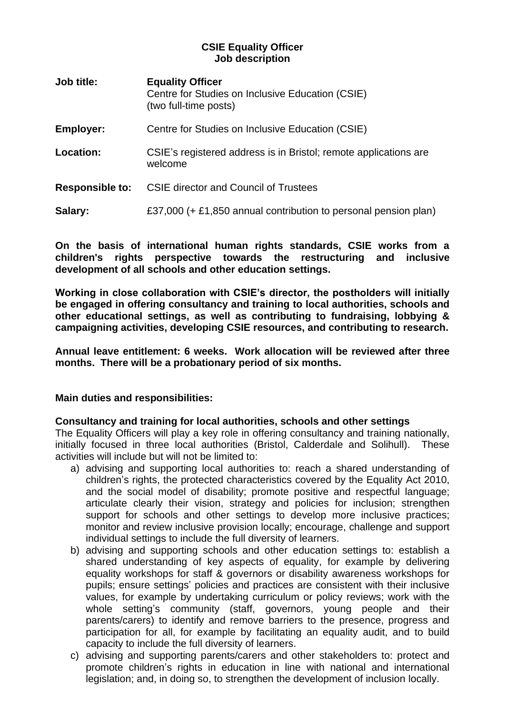### **CSIE Equality Officer Job description**

| <b>Job title:</b>      | <b>Equality Officer</b><br>Centre for Studies on Inclusive Education (CSIE)<br>(two full-time posts) |
|------------------------|------------------------------------------------------------------------------------------------------|
| <b>Employer:</b>       | Centre for Studies on Inclusive Education (CSIE)                                                     |
| Location:              | CSIE's registered address is in Bristol; remote applications are<br>welcome                          |
| <b>Responsible to:</b> | <b>CSIE director and Council of Trustees</b>                                                         |
| Salary:                | £37,000 (+ £1,850 annual contribution to personal pension plan)                                      |

**On the basis of international human rights standards, CSIE works from a children's rights perspective towards the restructuring and inclusive development of all schools and other education settings.** 

**Working in close collaboration with CSIE's director, the postholders will initially be engaged in offering consultancy and training to local authorities, schools and other educational settings, as well as contributing to fundraising, lobbying & campaigning activities, developing CSIE resources, and contributing to research.** 

**Annual leave entitlement: 6 weeks. Work allocation will be reviewed after three months. There will be a probationary period of six months.** 

### **Main duties and responsibilities:**

#### **Consultancy and training for local authorities, schools and other settings**

The Equality Officers will play a key role in offering consultancy and training nationally, initially focused in three local authorities (Bristol, Calderdale and Solihull). These activities will include but will not be limited to:

- a) advising and supporting local authorities to: reach a shared understanding of children's rights, the protected characteristics covered by the Equality Act 2010, and the social model of disability; promote positive and respectful language; articulate clearly their vision, strategy and policies for inclusion; strengthen support for schools and other settings to develop more inclusive practices; monitor and review inclusive provision locally; encourage, challenge and support individual settings to include the full diversity of learners.
- b) advising and supporting schools and other education settings to: establish a shared understanding of key aspects of equality, for example by delivering equality workshops for staff & governors or disability awareness workshops for pupils; ensure settings' policies and practices are consistent with their inclusive values, for example by undertaking curriculum or policy reviews; work with the whole setting's community (staff, governors, young people and their parents/carers) to identify and remove barriers to the presence, progress and participation for all, for example by facilitating an equality audit, and to build capacity to include the full diversity of learners.
- c) advising and supporting parents/carers and other stakeholders to: protect and promote children's rights in education in line with national and international legislation; and, in doing so, to strengthen the development of inclusion locally.